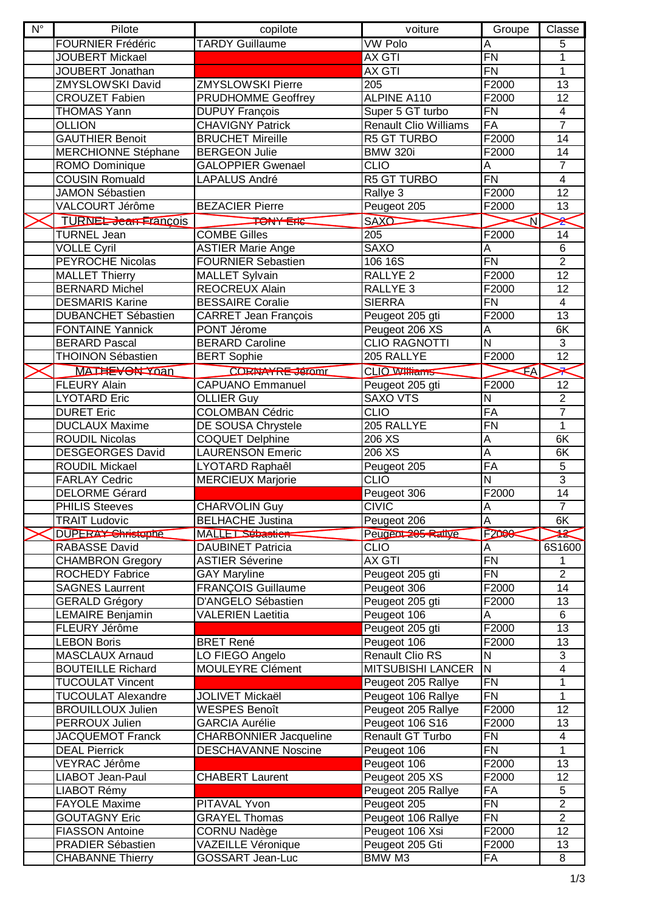| $N^{\circ}$ | Pilote                      | copilote                                   | voiture                           | Groupe                  | Classe                  |
|-------------|-----------------------------|--------------------------------------------|-----------------------------------|-------------------------|-------------------------|
|             | <b>FOURNIER Frédéric</b>    | <b>TARDY Guillaume</b>                     | <b>VW Polo</b>                    | A                       | 5                       |
|             | <b>JOUBERT Mickael</b>      |                                            | <b>AX GTI</b>                     | FN                      | 1                       |
|             | JOUBERT Jonathan            |                                            | <b>AX GTI</b>                     | <b>FN</b>               | $\mathbf{1}$            |
|             | <b>ZMYSLOWSKI David</b>     | <b>ZMYSLOWSKI Pierre</b>                   | 205                               | F2000                   | $\overline{13}$         |
|             | <b>CROUZET Fabien</b>       | <b>PRUDHOMME Geoffrey</b>                  | <b>ALPINE A110</b>                | F2000                   | $\overline{12}$         |
|             | <b>THOMAS Yann</b>          | <b>DUPUY François</b>                      | Super 5 GT turbo                  | FN                      | 4                       |
|             | <b>OLLION</b>               | <b>CHAVIGNY Patrick</b>                    | <b>Renault Clio Williams</b>      | FA                      | $\overline{7}$          |
|             | <b>GAUTHIER Benoit</b>      | <b>BRUCHET Mireille</b>                    | R5 GT TURBO                       | F2000                   | 14                      |
|             | MERCHIONNE Stéphane         | <b>BERGEON Julie</b>                       | <b>BMW 320i</b>                   | F <sub>2000</sub>       | 14                      |
|             | ROMO Dominique              | <b>GALOPPIER Gwenael</b>                   | <b>CLIO</b>                       | A                       | $\overline{7}$          |
|             | <b>COUSIN Romuald</b>       | <b>LAPALUS André</b>                       | <b>R5 GT TURBO</b>                | F <sub>N</sub>          | $\overline{\mathbf{4}}$ |
|             | <b>JAMON Sébastien</b>      |                                            | Rallye 3                          | F <sub>2000</sub>       | 12                      |
|             | VALCOURT Jérôme             | <b>BEZACIER Pierre</b>                     | Peugeot 205                       | F2000                   | 13                      |
|             | <b>TURNEL-Jean-Francois</b> | <b>TONY ETIC</b>                           | <b>SAXO</b>                       | $\overline{\mathsf{N}}$ | ⅇ                       |
|             | <b>TURNEL Jean</b>          | <b>COMBE Gilles</b>                        | 205                               | F2000                   | 14                      |
|             | <b>VOLLE Cyril</b>          | <b>ASTIER Marie Ange</b>                   | <b>SAXO</b>                       | Α                       | 6                       |
|             | <b>PEYROCHE Nicolas</b>     | <b>FOURNIER Sebastien</b>                  | 106 16S                           | <b>FN</b>               | $\overline{2}$          |
|             | <b>MALLET Thierry</b>       | <b>MALLET Sylvain</b>                      | RALLYE <sub>2</sub>               | F2000                   | $\overline{12}$         |
|             | <b>BERNARD Michel</b>       | <b>REOCREUX Alain</b>                      | RALLYE <sub>3</sub>               | F2000                   | 12                      |
|             | <b>DESMARIS Karine</b>      | <b>BESSAIRE Coralie</b>                    | <b>SIERRA</b>                     | <b>FN</b>               | $\overline{4}$          |
|             | <b>DUBANCHET Sébastien</b>  |                                            |                                   | F2000                   | 13                      |
|             | <b>FONTAINE Yannick</b>     | <b>CARRET Jean François</b><br>PONT Jérome | Peugeot 205 gti<br>Peugeot 206 XS | A                       | 6K                      |
|             | <b>BERARD Pascal</b>        | <b>BERARD Caroline</b>                     | <b>CLIO RAGNOTTI</b>              | $\overline{N}$          | 3                       |
|             | <b>THOINON Sébastien</b>    | <b>BERT Sophie</b>                         | 205 RALLYE                        | F2000                   | $\overline{12}$         |
|             |                             |                                            |                                   |                         |                         |
|             | MATHEVON Yoan               | <b>CORNAYRE Jeromr</b>                     | <b>CLIO Williams</b>              | IΑ                      |                         |
|             | <b>FLEURY Alain</b>         | <b>CAPUANO Emmanuel</b>                    | Peugeot 205 gti                   | F2000                   | $\overline{12}$         |
|             | <b>LYOTARD Eric</b>         | <b>OLLIER Guy</b>                          | <b>SAXO VTS</b>                   | $\mathsf{N}$            | $\sqrt{2}$              |
|             | <b>DURET Eric</b>           | <b>COLOMBAN Cédric</b>                     | <b>CLIO</b>                       | FA                      | $\overline{7}$          |
|             | <b>DUCLAUX Maxime</b>       | DE SOUSA Chrystele                         | 205 RALLYE                        | FN                      | 1                       |
|             | <b>ROUDIL Nicolas</b>       | <b>COQUET Delphine</b>                     | 206 XS                            | A                       | 6K                      |
|             | <b>DESGEORGES David</b>     | <b>LAURENSON Emeric</b>                    | 206 XS                            | A                       | 6K                      |
|             | <b>ROUDIL Mickael</b>       | LYOTARD Raphaêl                            | Peugeot 205                       | FA                      | 5                       |
|             | <b>FARLAY Cedric</b>        | <b>MERCIEUX Marjorie</b>                   | <b>CLIO</b>                       | $\overline{\mathsf{N}}$ | $\overline{3}$          |
|             | <b>DELORME Gérard</b>       |                                            | Peugeot 306                       | F2000                   | 14                      |
|             | <b>PHILIS Steeves</b>       | <b>CHARVOLIN Guy</b>                       | <b>CIVIC</b>                      | $\overline{\mathsf{A}}$ | $\overline{7}$          |
|             | <b>TRAIT Ludovic</b>        | <b>BELHACHE Justina</b>                    | Peugeot 206                       | A                       | 6K                      |
|             | DUPERAY Shristophe          | <b>MALLET Sébastien</b>                    | Peugeot 205 Railye                | F2000                   | X                       |
|             | <b>RABASSE David</b>        | <b>DAUBINET Patricia</b>                   | <b>CLIO</b>                       | A                       | 6S1600                  |
|             | <b>CHAMBRON Gregory</b>     | <b>ASTIER Séverine</b>                     | AX GTI                            | <b>FN</b>               | 1                       |
|             | <b>ROCHEDY Fabrice</b>      | <b>GAY Maryline</b>                        | Peugeot 205 gti                   | <b>FN</b>               | $\overline{2}$          |
|             | <b>SAGNES Laurrent</b>      | <b>FRANCOIS Guillaume</b>                  | Peugeot 306                       | F2000                   | 14                      |
|             | <b>GERALD Grégory</b>       | D'ANGELO Sébastien                         | Peugeot 205 gti                   | F2000                   | 13                      |
|             | <b>LEMAIRE Benjamin</b>     | <b>VALERIEN Laetitia</b>                   | Peugeot 106                       | A                       | 6                       |
|             | FLEURY Jérôme               |                                            | Peugeot 205 gti                   | F <sub>2000</sub>       | 13                      |
|             | <b>LEBON Boris</b>          | <b>BRET René</b>                           | Peugeot 106                       | F2000                   | 13                      |
|             | <b>MASCLAUX Arnaud</b>      | LO FIEGO Angelo                            | <b>Renault Clio RS</b>            | N                       | 3                       |
|             | <b>BOUTEILLE Richard</b>    | MOULEYRE Clément                           | <b>MITSUBISHI LANCER</b>          | IN.                     | 4                       |
|             | <b>TUCOULAT Vincent</b>     |                                            | Peugeot 205 Rallye                | <b>FN</b>               | $\mathbf{1}$            |
|             | <b>TUCOULAT Alexandre</b>   | <b>JOLIVET Mickaël</b>                     | Peugeot 106 Rallye                | <b>FN</b>               | $\mathbf{1}$            |
|             | <b>BROUILLOUX Julien</b>    | <b>WESPES Benoît</b>                       | Peugeot 205 Rallye                | F2000                   | 12                      |
|             | PERROUX Julien              | <b>GARCIA Aurélie</b>                      | Peugeot 106 S16                   | F2000                   | 13                      |
|             | <b>JACQUEMOT Franck</b>     | <b>CHARBONNIER Jacqueline</b>              | Renault GT Turbo                  | <b>FN</b>               | 4                       |
|             | <b>DEAL Pierrick</b>        | <b>DESCHAVANNE Noscine</b>                 | Peugeot 106                       | <b>FN</b>               | 1                       |
|             | VEYRAC Jérôme               |                                            | Peugeot 106                       | F <sub>2000</sub>       | 13                      |
|             | LIABOT Jean-Paul            | <b>CHABERT Laurent</b>                     | Peugeot 205 XS                    | F2000                   | 12                      |
|             | LIABOT Rémy                 |                                            | Peugeot 205 Rallye                | FA                      | 5                       |
|             | <b>FAYOLE Maxime</b>        | PITAVAL Yvon                               | Peugeot 205                       | FN                      | $\overline{2}$          |
|             | <b>GOUTAGNY Eric</b>        | <b>GRAYEL Thomas</b>                       | Peugeot 106 Rallye                | <b>FN</b>               | $\overline{2}$          |
|             | <b>FIASSON Antoine</b>      | <b>CORNU Nadège</b>                        | Peugeot 106 Xsi                   | F2000                   | 12                      |
|             | PRADIER Sébastien           | VAZEILLE Véronique                         | Peugeot 205 Gti                   | F2000                   | 13                      |
|             | <b>CHABANNE Thierry</b>     | GOSSART Jean-Luc                           | BMW M3                            | FA                      | 8                       |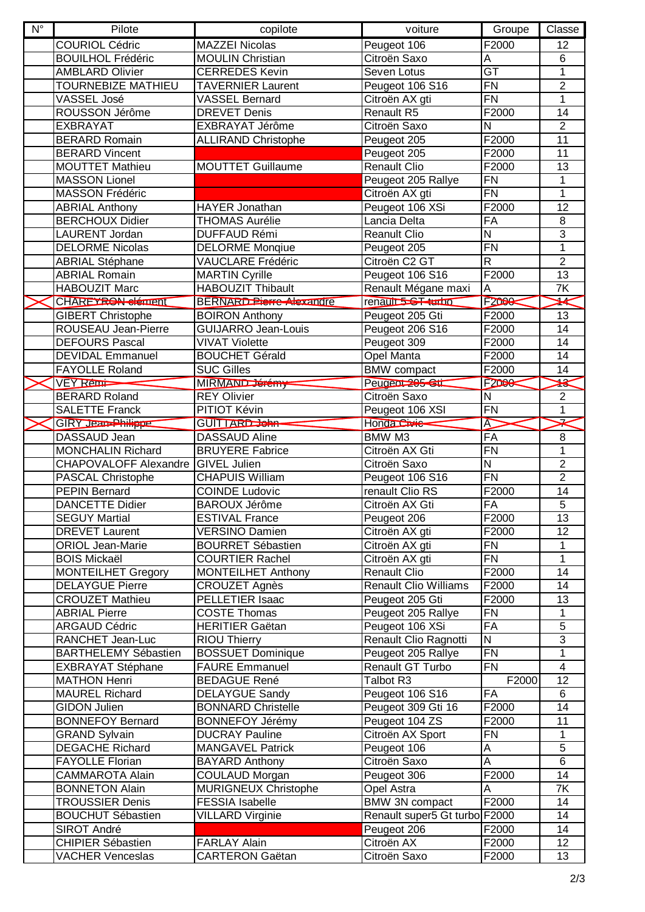| $N^{\circ}$ | Pilote                             | copilote                        | voiture                       | Groupe                   | Classe          |
|-------------|------------------------------------|---------------------------------|-------------------------------|--------------------------|-----------------|
|             | <b>COURIOL Cédric</b>              | <b>MAZZEI Nicolas</b>           | Peugeot 106                   | F2000                    | 12              |
|             | <b>BOUILHOL Frédéric</b>           | <b>MOULIN Christian</b>         | Citroën Saxo                  | Α                        | 6               |
|             | <b>AMBLARD Olivier</b>             | <b>CERREDES Kevin</b>           | Seven Lotus                   | $\overline{\mathsf{GT}}$ | 1               |
|             | TOURNEBIZE MATHIEU                 | <b>TAVERNIER Laurent</b>        | Peugeot 106 S16               | <b>FN</b>                | $\overline{2}$  |
|             | VASSEL José                        | <b>VASSEL Bernard</b>           | Citroën AX gti                | <b>FN</b>                | $\mathbf{1}$    |
|             | ROUSSON Jérôme                     | <b>DREVET Denis</b>             | Renault R5                    | F <sub>2000</sub>        | 14              |
|             | <b>EXBRAYAT</b>                    | EXBRAYAT Jérôme                 | Citroën Saxo                  | ${\sf N}$                | $\overline{2}$  |
|             | <b>BERARD Romain</b>               | <b>ALLIRAND Christophe</b>      | Peugeot 205                   | F2000                    | 11              |
|             | <b>BERARD Vincent</b>              |                                 | Peugeot 205                   | F2000                    | 11              |
|             | <b>MOUTTET Mathieu</b>             | <b>MOUTTET Guillaume</b>        | <b>Renault Clio</b>           | F <sub>2000</sub>        | 13              |
|             | <b>MASSON Lionel</b>               |                                 | Peugeot 205 Rallye            | <b>FN</b>                | 1               |
|             | <b>MASSON Frédéric</b>             |                                 | Citroën AX gti                | <b>FN</b>                | 1               |
|             | <b>ABRIAL Anthony</b>              | <b>HAYER Jonathan</b>           | Peugeot 106 XSi               | F2000                    | 12              |
|             | <b>BERCHOUX Didier</b>             | <b>THOMAS Aurélie</b>           | Lancia Delta                  | FA                       | 8               |
|             | LAURENT Jordan                     | <b>DUFFAUD Rémi</b>             | <b>Reanult Clio</b>           | $\overline{\mathsf{N}}$  | 3               |
|             | <b>DELORME Nicolas</b>             | <b>DELORME Monqiue</b>          | Peugeot 205                   | <b>FN</b>                | 1               |
|             | <b>ABRIAL Stéphane</b>             | <b>VAUCLARE Frédéric</b>        | Citroën C2 GT                 | $\overline{\mathsf{R}}$  | $\overline{2}$  |
|             | <b>ABRIAL Romain</b>               | <b>MARTIN Cyrille</b>           | Peugeot 106 S16               | F2000                    | 13              |
|             | <b>HABOUZIT Marc</b>               | <b>HABOUZIT Thibault</b>        | Renault Mégane maxi           | A                        | 7K              |
|             | CHAREYRON dément                   | <b>BERNARD Pierre Alexandre</b> | renault 5-ST turbo            | F <sub>2000</sub>        | X               |
|             | <b>GIBERT Christophe</b>           | <b>BOIRON Anthony</b>           | Peugeot 205 Gti               | F2000                    | 13              |
|             | ROUSEAU Jean-Pierre                | <b>GUIJARRO Jean-Louis</b>      | Peugeot 206 S16               | F2000                    | 14              |
|             | <b>DEFOURS Pascal</b>              | <b>VIVAT Violette</b>           | Peugeot 309                   | F2000                    | 14              |
|             | <b>DEVIDAL Emmanuel</b>            | <b>BOUCHET Gérald</b>           | Opel Manta                    | F2000                    | 14              |
|             | <b>FAYOLLE Roland</b>              | <b>SUC Gilles</b>               | <b>BMW</b> compact            | F2000                    | 14              |
|             | <b>VEY Remi-</b>                   | MIRMAND Jérémy                  | Peugeot 205 Gt                | F2D00                    | ₩               |
|             | <b>BERARD Roland</b>               | <b>REY Olivier</b>              | Citroën Saxo                  | $\mathsf{N}$             | $\overline{2}$  |
|             | <b>SALETTE Franck</b>              | PITIOT Kévin                    | Peugeot 106 XSI               | <b>FN</b>                | 1               |
|             | GIRY Jean-Philippe                 | GUITTARD John-                  | Honda Civic                   | Ā                        | z               |
|             | DASSAUD Jean                       | <b>DASSAUD Aline</b>            | BMW M3                        | FA                       | 8               |
|             | <b>MONCHALIN Richard</b>           | <b>BRUYERE Fabrice</b>          | Citroën AX Gti                | <b>FN</b>                | 1               |
|             | CHAPOVALOFF Alexandre GIVEL Julien |                                 | Citroën Saxo                  | $\mathsf{N}$             | $\overline{2}$  |
|             | <b>PASCAL Christophe</b>           | <b>CHAPUIS William</b>          | Peugeot 106 S16               | <b>FN</b>                | $\overline{2}$  |
|             | <b>PEPIN Bernard</b>               | <b>COINDE Ludovic</b>           | renault Clio RS               | F2000                    | $\overline{14}$ |
|             | <b>DANCETTE Didier</b>             | <b>BAROUX Jérôme</b>            | Citroën AX Gti                | FA                       | $\overline{5}$  |
|             | <b>SEGUY Martial</b>               | <b>ESTIVAL France</b>           | Peugeot 206                   | F2000                    | 13              |
|             | <b>DREVET Laurent</b>              | <b>VERSINO Damien</b>           | Citroën AX gti                | F2000                    | 12              |
|             | <b>ORIOL Jean-Marie</b>            | <b>BOURRET Sébastien</b>        | Citroën AX gti                | <b>FN</b>                | 1               |
|             | <b>BOIS Mickaël</b>                | <b>COURTIER Rachel</b>          | Citroën AX gti                | FN                       | $\mathbf{1}$    |
|             | <b>MONTEILHET Gregory</b>          | <b>MONTEILHET Anthony</b>       | <b>Renault Clio</b>           | F2000                    | 14              |
|             | <b>DELAYGUE Pierre</b>             | <b>CROUZET Agnès</b>            | <b>Renault Clio Williams</b>  | F2000                    | 14              |
|             | <b>CROUZET Mathieu</b>             | PELLETIER Isaac                 | Peugeot 205 Gti               | F <sub>2000</sub>        | 13              |
|             | <b>ABRIAL Pierre</b>               | <b>COSTE Thomas</b>             | Peugeot 205 Rallye            | <b>FN</b>                | 1               |
|             | <b>ARGAUD Cédric</b>               | <b>HERITIER Gaëtan</b>          | Peugeot 106 XSi               | FA                       | $\overline{5}$  |
|             | RANCHET Jean-Luc                   | <b>RIOU Thierry</b>             | Renault Clio Ragnotti         | Z                        | $\overline{3}$  |
|             | <b>BARTHELEMY Sébastien</b>        | <b>BOSSUET Dominique</b>        | Peugeot 205 Rallye            | <b>FN</b>                | 1               |
|             | <b>EXBRAYAT Stéphane</b>           | <b>FAURE Emmanuel</b>           | Renault GT Turbo              | <b>FN</b>                | 4               |
|             | <b>MATHON Henri</b>                | <b>BEDAGUE René</b>             | Talbot R3                     | F2000                    | 12              |
|             | <b>MAUREL Richard</b>              | <b>DELAYGUE Sandy</b>           | Peugeot 106 S16               | FA                       | 6               |
|             | <b>GIDON Julien</b>                | <b>BONNARD Christelle</b>       | Peugeot 309 Gti 16            | F2000                    | 14              |
|             | <b>BONNEFOY Bernard</b>            | <b>BONNEFOY Jérémy</b>          | Peugeot 104 ZS                | F2000                    | 11              |
|             | <b>GRAND Sylvain</b>               | <b>DUCRAY Pauline</b>           | Citroën AX Sport              | <b>FN</b>                | $\mathbf 1$     |
|             | <b>DEGACHE Richard</b>             | <b>MANGAVEL Patrick</b>         | Peugeot 106                   | A                        | 5               |
|             | <b>FAYOLLE Florian</b>             | <b>BAYARD Anthony</b>           | Citroën Saxo                  | A                        | 6               |
|             | <b>CAMMAROTA Alain</b>             | COULAUD Morgan                  | Peugeot 306                   | F2000                    | 14              |
|             | <b>BONNETON Alain</b>              | <b>MURIGNEUX Christophe</b>     | Opel Astra                    | A                        | 7K              |
|             | <b>TROUSSIER Denis</b>             | <b>FESSIA Isabelle</b>          | <b>BMW 3N compact</b>         | F2000                    | 14              |
|             | <b>BOUCHUT Sébastien</b>           | <b>VILLARD Virginie</b>         | Renault super5 Gt turbo F2000 |                          | 14              |
|             | SIROT André                        |                                 | Peugeot 206                   | F2000                    | 14              |
|             | <b>CHIPIER Sébastien</b>           | <b>FARLAY Alain</b>             | Citroën AX                    | F2000                    | 12              |
|             | VACHER Venceslas                   | <b>CARTERON Gaëtan</b>          | Citroën Saxo                  | F2000                    | 13              |
|             |                                    |                                 |                               |                          |                 |